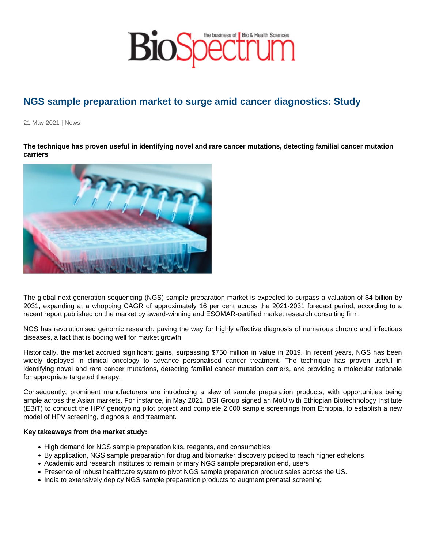## NGS sample preparation market to surge amid cancer diagnostics: Study

21 May 2021 | News

The technique has proven useful in identifying novel and rare cancer mutations, detecting familial cancer mutation carriers

The global next-generation sequencing (NGS) sample preparation market is expected to surpass a valuation of \$4 billion by 2031, expanding at a whopping CAGR of approximately 16 per cent across the 2021-2031 forecast period, according to a recent report published on the market by award-winning and ESOMAR-certified market research consulting firm.

NGS has revolutionised genomic research, paving the way for highly effective diagnosis of numerous chronic and infectious diseases, a fact that is boding well for market growth.

Historically, the market accrued significant gains, surpassing \$750 million in value in 2019. In recent years, NGS has been widely deployed in clinical oncology to advance personalised cancer treatment. The technique has proven useful in identifying novel and rare cancer mutations, detecting familial cancer mutation carriers, and providing a molecular rationale for appropriate targeted therapy.

Consequently, prominent manufacturers are introducing a slew of sample preparation products, with opportunities being ample across the Asian markets. For instance, in May 2021, BGI Group signed an MoU with Ethiopian Biotechnology Institute (EBiT) to conduct the HPV genotyping pilot project and complete 2,000 sample screenings from Ethiopia, to establish a new model of HPV screening, diagnosis, and treatment.

Key takeaways from the market study:

- High demand for NGS sample preparation kits, reagents, and consumables
- By application, NGS sample preparation for drug and biomarker discovery poised to reach higher echelons
- Academic and research institutes to remain primary NGS sample preparation end, users
- Presence of robust healthcare system to pivot NGS sample preparation product sales across the US.
- India to extensively deploy NGS sample preparation products to augment prenatal screening